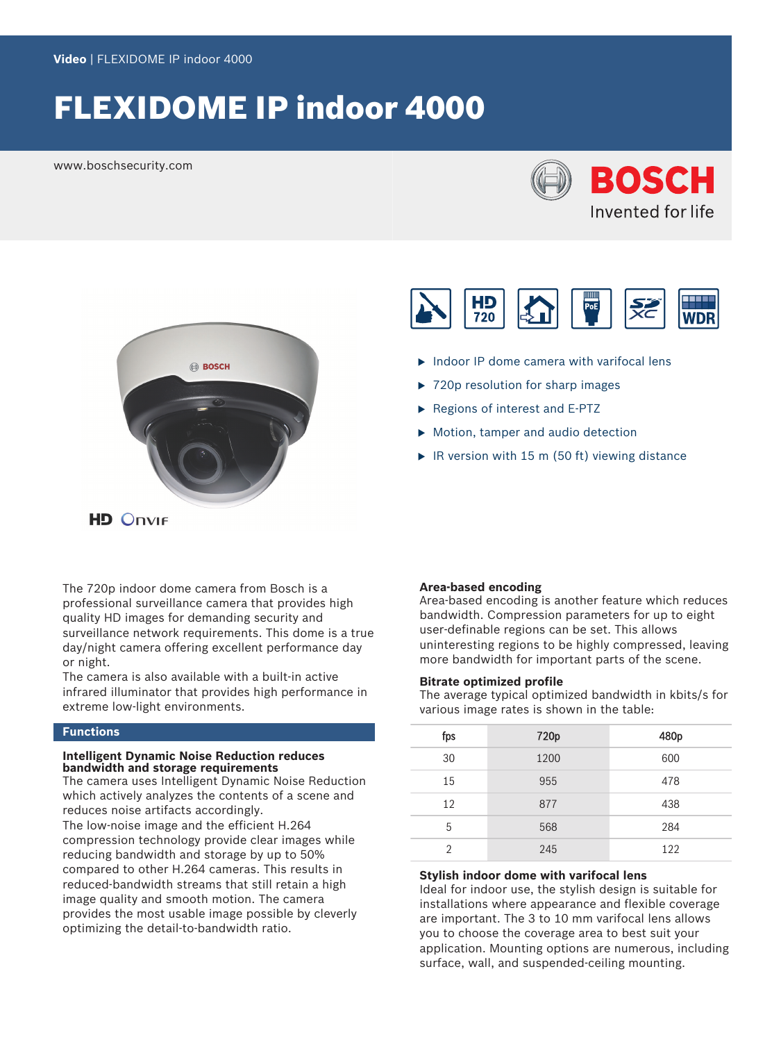# FLEXIDOME IP indoor 4000

www.boschsecurity.com







- $\blacktriangleright$  Indoor IP dome camera with varifocal lens
- $\triangleright$  720p resolution for sharp images
- $\blacktriangleright$  Regions of interest and E-PTZ
- $\triangleright$  Motion, tamper and audio detection
- $\blacktriangleright$  IR version with 15 m (50 ft) viewing distance

**HD Onvir** 

The 720p indoor dome camera from Bosch is a professional surveillance camera that provides high quality HD images for demanding security and surveillance network requirements. This dome is a true day/night camera offering excellent performance day or night.

The camera is also available with a built-in active infrared illuminator that provides high performance in extreme low-light environments.

## **Functions**

### **Intelligent Dynamic Noise Reduction reduces bandwidth and storage requirements**

The camera uses Intelligent Dynamic Noise Reduction which actively analyzes the contents of a scene and reduces noise artifacts accordingly. The low-noise image and the efficient H.264 compression technology provide clear images while reducing bandwidth and storage by up to 50% compared to other H.264 cameras. This results in reduced-bandwidth streams that still retain a high image quality and smooth motion. The camera provides the most usable image possible by cleverly optimizing the detail-to-bandwidth ratio.

### **Area-based encoding**

Area-based encoding is another feature which reduces bandwidth. Compression parameters for up to eight user-definable regions can be set. This allows uninteresting regions to be highly compressed, leaving more bandwidth for important parts of the scene.

### **Bitrate optimized profile**

The average typical optimized bandwidth in kbits/s for various image rates is shown in the table:

| fps          | 720p | 480p |
|--------------|------|------|
| 30           | 1200 | 600  |
| 15           | 955  | 478  |
| 12           | 877  | 438  |
| 5            | 568  | 284  |
| <sup>2</sup> | 245  | 122  |

### **Stylish indoor dome with varifocal lens**

Ideal for indoor use, the stylish design is suitable for installations where appearance and flexible coverage are important. The 3 to 10 mm varifocal lens allows you to choose the coverage area to best suit your application. Mounting options are numerous, including surface, wall, and suspended-ceiling mounting.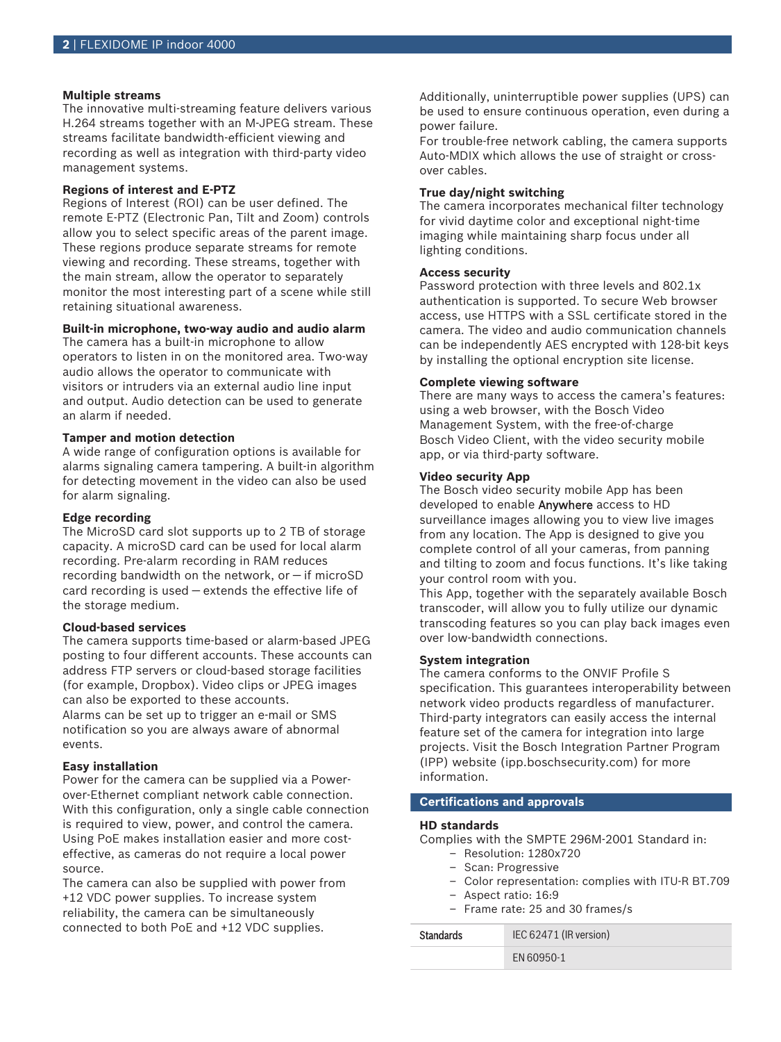### **Multiple streams**

The innovative multi-streaming feature delivers various H.264 streams together with an M‑JPEG stream. These streams facilitate bandwidth-efficient viewing and recording as well as integration with third-party video management systems.

### **Regions of interest and E-PTZ**

Regions of Interest (ROI) can be user defined. The remote E-PTZ (Electronic Pan, Tilt and Zoom) controls allow you to select specific areas of the parent image. These regions produce separate streams for remote viewing and recording. These streams, together with the main stream, allow the operator to separately monitor the most interesting part of a scene while still retaining situational awareness.

### **Built-in microphone, two-way audio and audio alarm**

The camera has a built-in microphone to allow operators to listen in on the monitored area. Two-way audio allows the operator to communicate with visitors or intruders via an external audio line input and output. Audio detection can be used to generate an alarm if needed.

### **Tamper and motion detection**

A wide range of configuration options is available for alarms signaling camera tampering. A built-in algorithm for detecting movement in the video can also be used for alarm signaling.

### **Edge recording**

The MicroSD card slot supports up to 2 TB of storage capacity. A microSD card can be used for local alarm recording. Pre-alarm recording in RAM reduces recording bandwidth on the network, or  $-$  if microSD card recording is used — extends the effective life of the storage medium.

### **Cloud-based services**

The camera supports time-based or alarm-based JPEG posting to four different accounts. These accounts can address FTP servers or cloud-based storage facilities (for example, Dropbox). Video clips or JPEG images can also be exported to these accounts.

Alarms can be set up to trigger an e-mail or SMS notification so you are always aware of abnormal events.

### **Easy installation**

Power for the camera can be supplied via a Powerover-Ethernet compliant network cable connection. With this configuration, only a single cable connection is required to view, power, and control the camera. Using PoE makes installation easier and more costeffective, as cameras do not require a local power source.

The camera can also be supplied with power from +12 VDC power supplies. To increase system reliability, the camera can be simultaneously connected to both PoE and +12 VDC supplies.

Additionally, uninterruptible power supplies (UPS) can be used to ensure continuous operation, even during a power failure.

For trouble-free network cabling, the camera supports Auto-MDIX which allows the use of straight or crossover cables.

### **True day/night switching**

The camera incorporates mechanical filter technology for vivid daytime color and exceptional night-time imaging while maintaining sharp focus under all lighting conditions.

### **Access security**

Password protection with three levels and 802.1x authentication is supported. To secure Web browser access, use HTTPS with a SSL certificate stored in the camera. The video and audio communication channels can be independently AES encrypted with 128-bit keys by installing the optional encryption site license.

### **Complete viewing software**

There are many ways to access the camera's features: using a web browser, with the Bosch Video Management System, with the free-of-charge Bosch Video Client, with the video security mobile app, or via third-party software.

### **Video security App**

The Bosch video security mobile App has been developed to enable Anywhere access to HD surveillance images allowing you to view live images from any location. The App is designed to give you complete control of all your cameras, from panning and tilting to zoom and focus functions. It's like taking your control room with you.

This App, together with the separately available Bosch transcoder, will allow you to fully utilize our dynamic transcoding features so you can play back images even over low-bandwidth connections.

### **System integration**

The camera conforms to the ONVIF Profile S specification. This guarantees interoperability between network video products regardless of manufacturer. Third-party integrators can easily access the internal feature set of the camera for integration into large projects. Visit the Bosch Integration Partner Program (IPP) website (ipp.boschsecurity.com) for more information.

## **Certifications and approvals**

### **HD standards**

Complies with the SMPTE 296M-2001 Standard in:

- Resolution: 1280x720
- Scan: Progressive
- Color representation: complies with ITU-R BT.709
- Aspect ratio: 16:9

| $\overline{\phantom{0}}$ |  |  | Frame rate: 25 and 30 frames/s |  |
|--------------------------|--|--|--------------------------------|--|
|                          |  |  |                                |  |

Standards IEC 62471 (IR version)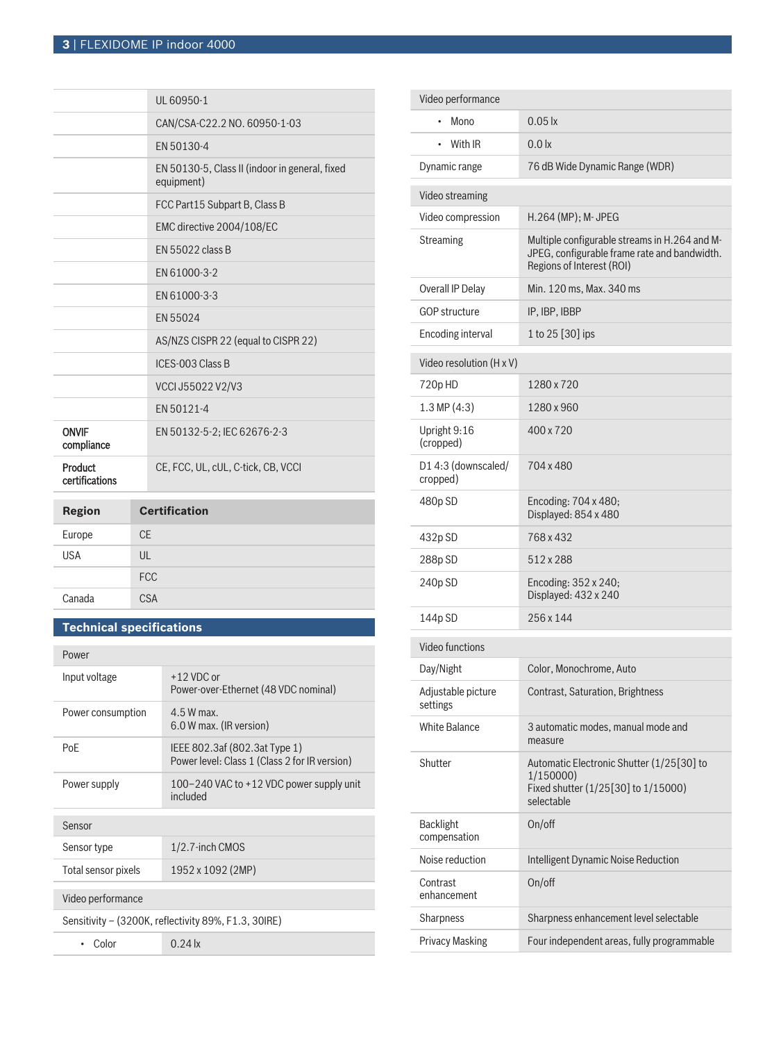|                            | UL 60950-1                                                   |
|----------------------------|--------------------------------------------------------------|
|                            | CAN/CSA-C22.2 NO. 60950-1-03                                 |
|                            | EN 50130-4                                                   |
|                            | EN 50130-5, Class II (indoor in general, fixed<br>equipment) |
|                            | FCC Part15 Subpart B, Class B                                |
|                            | EMC directive 2004/108/EC                                    |
|                            | EN 55022 class B                                             |
|                            | EN 61000-3-2                                                 |
|                            | EN 61000-3-3                                                 |
|                            | FN 55024                                                     |
|                            | AS/NZS CISPR 22 (equal to CISPR 22)                          |
|                            | ICES-003 Class B                                             |
|                            | VCCI J55022 V2/V3                                            |
|                            | FN 50121-4                                                   |
| <b>ONVIF</b><br>compliance | EN 50132-5-2; IEC 62676-2-3                                  |
| Product<br>certifications  | CE, FCC, UL, cUL, C-tick, CB, VCCI                           |
| <b>Region</b>              | <b>Certification</b>                                         |
|                            |                                                              |

| . <b>.</b> | ------------- |
|------------|---------------|
| Europe     | <b>CE</b>     |
| <b>USA</b> | UL            |
|            | <b>FCC</b>    |
| Canada     | <b>CSA</b>    |

## **Technical specifications**

| Power                                                |                                                                                |  |
|------------------------------------------------------|--------------------------------------------------------------------------------|--|
| Input voltage                                        | $+12$ VDC or<br>Power-over-Ethernet (48 VDC nominal)                           |  |
| Power consumption                                    | $4.5W$ max<br>6.0 W max. (IR version)                                          |  |
| PoF                                                  | IEEE 802.3af (802.3at Type 1)<br>Power level: Class 1 (Class 2 for IR version) |  |
| Power supply                                         | 100-240 VAC to +12 VDC power supply unit<br>included                           |  |
| Sensor                                               |                                                                                |  |
| Sensor type                                          | 1/2.7-inch CMOS                                                                |  |
| Total sensor pixels                                  | 1952 x 1092 (2MP)                                                              |  |
| Video performance                                    |                                                                                |  |
| Sensitivity – (3200K, reflectivity 89%, F1.3, 30IRE) |                                                                                |  |
| Color                                                | $0.24 \text{ k}$                                                               |  |

| Video performance                |                                                                                                                            |
|----------------------------------|----------------------------------------------------------------------------------------------------------------------------|
| Mono                             | $0.05 \text{lx}$                                                                                                           |
| With IR<br>٠                     | 0.0 <sub>x</sub>                                                                                                           |
| Dynamic range                    | 76 dB Wide Dynamic Range (WDR)                                                                                             |
| Video streaming                  |                                                                                                                            |
| Video compression                | H.264 (MP); M- JPEG                                                                                                        |
| <b>Streaming</b>                 | Multiple configurable streams in H.264 and M-<br>JPEG, configurable frame rate and bandwidth.<br>Regions of Interest (ROI) |
| Overall IP Delay                 | Min. 120 ms, Max. 340 ms                                                                                                   |
| <b>GOP structure</b>             | IP, IBP, IBBP                                                                                                              |
| Encoding interval                | 1 to 25 [30] ips                                                                                                           |
| Video resolution (H x V)         |                                                                                                                            |
| 720pHD                           | 1280 x 720                                                                                                                 |
| $1.3 \text{ MP } (4.3)$          | 1280 x 960                                                                                                                 |
| Upright 9:16<br>(cropped)        | 400 x 720                                                                                                                  |
| D14:3 (downscaled/<br>cropped)   | 704 x 480                                                                                                                  |
| 480p SD                          | Encoding: 704 x 480;<br>Displayed: 854 x 480                                                                               |
| 432p SD                          | 768 x 432                                                                                                                  |
| 288p SD                          | 512 x 288                                                                                                                  |
| 240p SD                          | Encoding: 352 x 240;<br>Displayed: 432 x 240                                                                               |
| 144p SD                          | 256 x 144                                                                                                                  |
| Video functions                  |                                                                                                                            |
| Day/Night                        | Color, Monochrome, Auto                                                                                                    |
| Adjustable picture<br>settings   | Contrast, Saturation, Brightness                                                                                           |
| <b>White Balance</b>             | 3 automatic modes, manual mode and<br>measure                                                                              |
| Shutter                          | Automatic Electronic Shutter (1/25[30] to<br>1/150000)<br>Fixed shutter (1/25[30] to 1/15000)<br>selectable                |
| <b>Backlight</b><br>compensation | On/off                                                                                                                     |
| Noise reduction                  | Intelligent Dynamic Noise Reduction                                                                                        |
| Contrast<br>enhancement          | On/off                                                                                                                     |
| Sharpness                        | Sharpness enhancement level selectable                                                                                     |
| <b>Privacy Masking</b>           | Four independent areas, fully programmable                                                                                 |
|                                  |                                                                                                                            |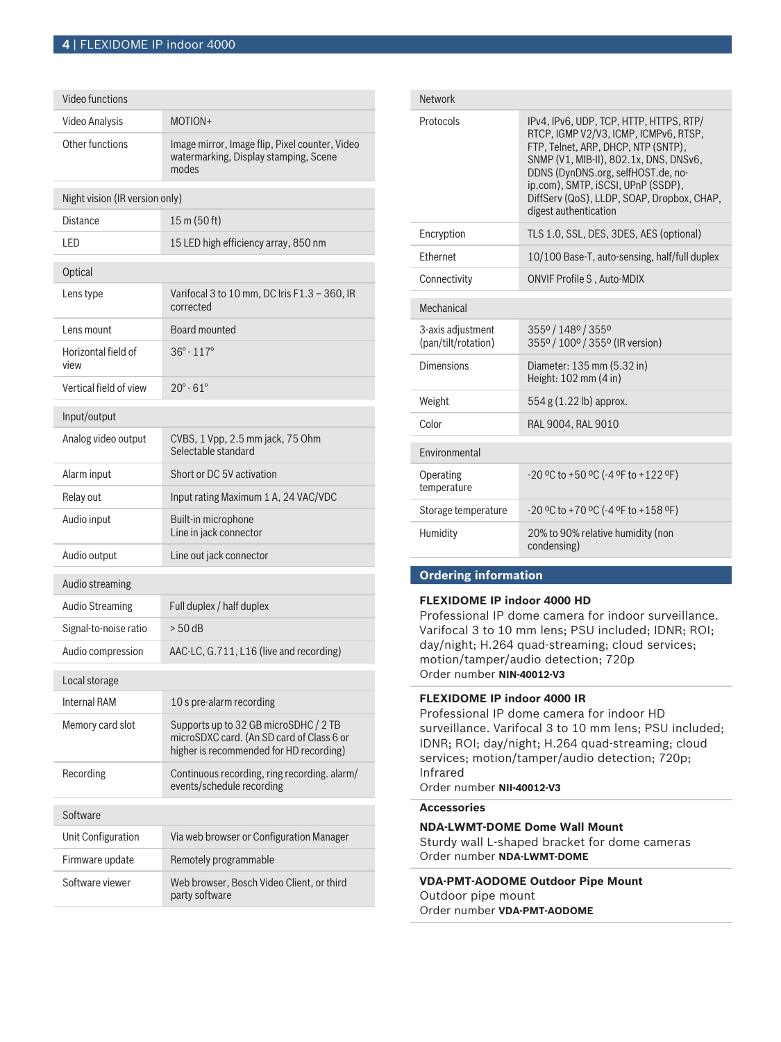| Video functions                |                                                                                                                               |  |
|--------------------------------|-------------------------------------------------------------------------------------------------------------------------------|--|
| Video Analysis                 | MOTION+                                                                                                                       |  |
| Other functions                | Image mirror, Image flip, Pixel counter, Video<br>watermarking, Display stamping, Scene<br>modes                              |  |
| Night vision (IR version only) |                                                                                                                               |  |
| Distance                       | 15 m (50 ft)                                                                                                                  |  |
| LED                            | 15 LED high efficiency array, 850 nm                                                                                          |  |
| Optical                        |                                                                                                                               |  |
| Lens type                      | Varifocal 3 to 10 mm, DC Iris F1.3 - 360, IR<br>corrected                                                                     |  |
| Lens mount                     | Board mounted                                                                                                                 |  |
| Horizontal field of<br>view    | $36^{\circ} - 117^{\circ}$                                                                                                    |  |
| Vertical field of view         | $20^{\circ} - 61^{\circ}$                                                                                                     |  |
| Input/output                   |                                                                                                                               |  |
| Analog video output            | CVBS, 1 Vpp, 2.5 mm jack, 75 Ohm<br>Selectable standard                                                                       |  |
| Alarm input                    | Short or DC 5V activation                                                                                                     |  |
| Relay out                      | Input rating Maximum 1 A, 24 VAC/VDC                                                                                          |  |
| Audio input                    | Built-in microphone<br>Line in jack connector                                                                                 |  |
| Audio output                   | Line out jack connector                                                                                                       |  |
| Audio streaming                |                                                                                                                               |  |
| <b>Audio Streaming</b>         | Full duplex / half duplex                                                                                                     |  |
| Signal-to-noise ratio          | $> 50$ dB                                                                                                                     |  |
| Audio compression              | AAC-LC, G.711, L16 (live and recording)                                                                                       |  |
| Local storage                  |                                                                                                                               |  |
| Internal RAM                   | 10 s pre-alarm recording                                                                                                      |  |
| Memory card slot               | Supports up to 32 GB microSDHC / 2 TB<br>microSDXC card. (An SD card of Class 6 or<br>higher is recommended for HD recording) |  |
| Recording                      | Continuous recording, ring recording. alarm/<br>events/schedule recording                                                     |  |
| Software                       |                                                                                                                               |  |
| Unit Configuration             | Via web browser or Configuration Manager                                                                                      |  |
| Firmware update                | Remotely programmable                                                                                                         |  |
| Software viewer                | Web browser, Bosch Video Client, or third<br>party software                                                                   |  |

| <b>Network</b>                           |                                                                                                                                                                                                                                                                                                                      |  |
|------------------------------------------|----------------------------------------------------------------------------------------------------------------------------------------------------------------------------------------------------------------------------------------------------------------------------------------------------------------------|--|
| Protocols                                | IPv4, IPv6, UDP, TCP, HTTP, HTTPS, RTP/<br>RTCP. IGMP V2/V3. ICMP. ICMPv6. RTSP.<br>FTP, Telnet, ARP, DHCP, NTP (SNTP),<br>SNMP (V1, MIB-II), 802.1x, DNS, DNSv6,<br>DDNS (DynDNS.org, selfHOST.de, no-<br>ip.com), SMTP, iSCSI, UPnP (SSDP),<br>DiffServ (QoS), LLDP, SOAP, Dropbox, CHAP,<br>digest authentication |  |
| Encryption                               | TLS 1.0, SSL, DES, 3DES, AES (optional)                                                                                                                                                                                                                                                                              |  |
| <b>Fthernet</b>                          | 10/100 Base-T, auto-sensing, half/full duplex                                                                                                                                                                                                                                                                        |  |
| Connectivity                             | <b>ONVIF Profile S, Auto-MDIX</b>                                                                                                                                                                                                                                                                                    |  |
| Mechanical                               |                                                                                                                                                                                                                                                                                                                      |  |
| 3-axis adjustment<br>(pan/tilt/rotation) | 3550 / 1480 / 3550<br>355º / 100º / 355º (IR version)                                                                                                                                                                                                                                                                |  |
| Dimensions                               | Diameter: 135 mm (5.32 in)<br>Height: $102 \text{ mm}$ (4 in)                                                                                                                                                                                                                                                        |  |
| Weight                                   | 554 g (1.22 lb) approx.                                                                                                                                                                                                                                                                                              |  |
| Color                                    | RAL 9004, RAL 9010                                                                                                                                                                                                                                                                                                   |  |
| <b>Fnvironmental</b>                     |                                                                                                                                                                                                                                                                                                                      |  |
| Operating<br>temperature                 | $-20$ °C to $+50$ °C ( $-4$ °F to $+122$ °F)                                                                                                                                                                                                                                                                         |  |
| Storage temperature                      | $-20$ °C to $+70$ °C ( $-4$ °F to $+158$ °F)                                                                                                                                                                                                                                                                         |  |
| Humidity                                 | 20% to 90% relative humidity (non<br>condensing)                                                                                                                                                                                                                                                                     |  |

## **Ordering information**

### **FLEXIDOME IP indoor 4000 HD**

Professional IP dome camera for indoor surveillance. Varifocal 3 to 10 mm lens; PSU included; IDNR; ROI; day/night; H.264 quad-streaming; cloud services; motion/tamper/audio detection; 720p Order number **NIN-40012-V3**

### **FLEXIDOME IP indoor 4000 IR**

Professional IP dome camera for indoor HD surveillance. Varifocal 3 to 10 mm lens; PSU included; IDNR; ROI; day/night; H.264 quad-streaming; cloud services; motion/tamper/audio detection; 720p; Infrared Order number **NII-40012-V3**

### **Accessories**

**NDA-LWMT-DOME Dome Wall Mount** Sturdy wall L-shaped bracket for dome cameras Order number **NDA-LWMT-DOME**

**VDA-PMT-AODOME Outdoor Pipe Mount** Outdoor pipe mount Order number **VDA-PMT-AODOME**